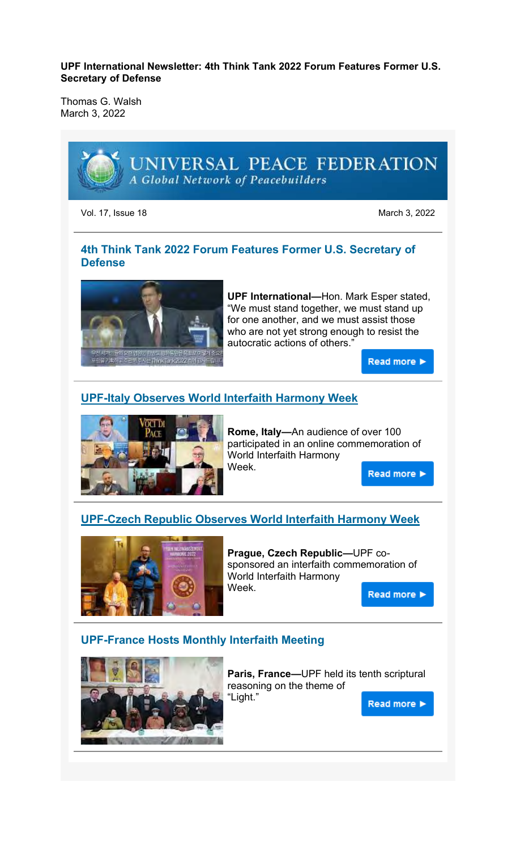#### **UPF International Newsletter: 4th Think Tank 2022 Forum Features Former U.S. Secretary of Defense**

Thomas G. Walsh March 3, 2022



Vol. 17, Issue 18 March 3, 2022

### **4th Think Tank 2022 Forum Features Former U.S. Secretary of Defense**



**UPF International—**Hon. Mark Esper stated, "We must stand together, we must stand up for one another, and we must assist those who are not yet strong enough to resist the autocratic actions of others."

Read more >

### **UPF-Italy Observes World Interfaith Harmony Week**



**Rome, Italy—**An audience of over 100 participated in an online commemoration of World Interfaith Harmony Week.

Read more >

### **UPF-Czech Republic Observes World Interfaith Harmony Week**



**Prague, Czech Republic—**UPF cosponsored an interfaith commemoration of World Interfaith Harmony Week.

Read more >

#### **UPF-France Hosts Monthly Interfaith Meeting**



**Paris, France—**UPF held its tenth scriptural reasoning on the theme of "Light."

Read more >